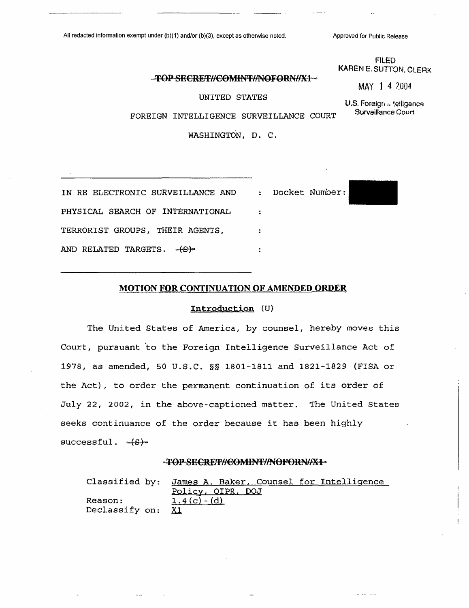# **-TOPSEGRET//£0MINT7/NOFORN//X1^**

UNITED STATES

U.S. Foreign in telligence Surveillance Court

للمساحي أنبيت المنا

FILED KAREN E. SUTTON. CLERK

MAY <sup>1</sup> 4 2004

FOREIGN INTELLIGENCE SURVEILLANCE COURT

WASHINGTON, D. C.

| IN RE ELECTRONIC SURVEILLANCE AND : Docket Number: |  |
|----------------------------------------------------|--|
| PHYSICAL SEARCH OF INTERNATIONAL                   |  |
| TERRORIST GROUPS, THEIR AGENTS,                    |  |
| AND RELATED TARGETS. -(S)-                         |  |

#### **MOTION FOR CONTINUATION OF AMENDED ORDER**

### **Introduction (U)**

The United States of America, by counsel, hereby moves this Court, pursuant to the Foreign Intelligence Surveillance Act of 1978, as amended, 50 U.S.C. §§ 1801-1811 and 1821-1829 (FISA or the Act), to order the permanent continuation of its order of July 22, 2002, in the above-captioned matter. The United States seeks continuance of the order because it has been highly successful. - (S)-

### **^TOP8EGRET7/G0MINT//NOFORN//X1®<sup>1</sup>**

Classified by: James A. Baker, Counsel for Intelligence Policy, OIPR, DOJ Reason:  $1.4(c) - (d)$ Declassify on: X1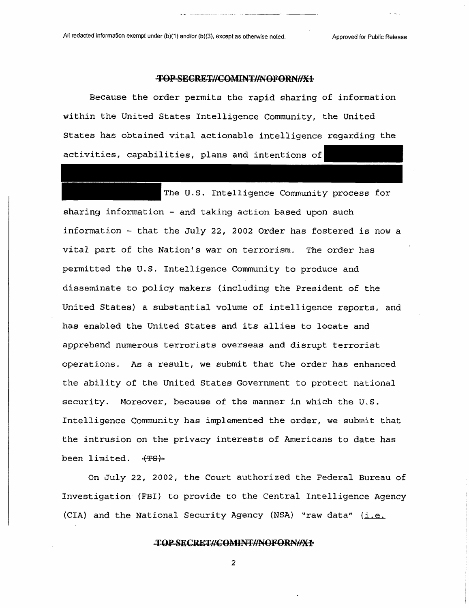### TOP SECRET//COMINT//NOFORN//X+

Because the order permits the rapid sharing of information within the United States Intelligence Community, the United States has obtained vital actionable intelligence regarding the activities, capabilities, plans and intentions of

The U.S. Intelligence Community process for sharing information - and taking action based upon such information - that the July 22, 2002 Order has fostered is now a vital part of the Nation's war on terrorism. The order has permitted the U.S. Intelligence Community to produce and disseminate to policy makers (including the President of the United States) a substantial volume of intelligence reports, and has enabled the United States and its allies to locate and apprehend numerous terrorists overseas and disrupt terrorist operations. As a result, we submit that the order has enhanced the ability of the United States Government to protect national security. Moreover, because of the manner in which the U.S. Intelligence Community has implemented the order, we submit that the intrusion on the privacy interests of Americans to date has been limited.

On July 22, 2002, the Court authorized the Federal Bureau of Investigation (FBI) to provide to the Central Intelligence Agency (CIA) and the National Security Agency (NSA) "raw data"  $(i.e.$ 

## **TORSECRET//COMINF//NOFORN//X1**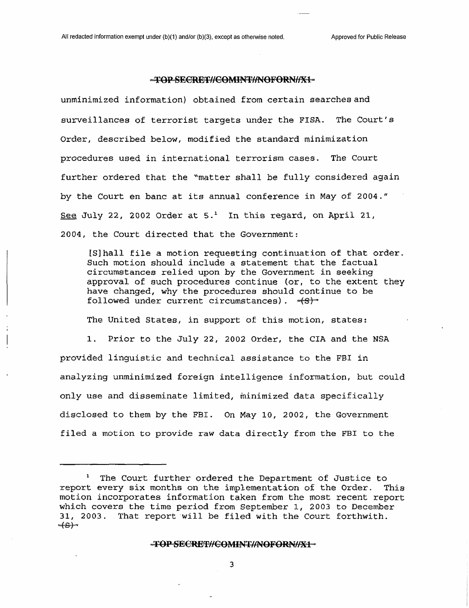### -TOP-SECRET//COMINT//NOFORN//X1-

unminimized information) obtained from certain searches and surveillances of terrorist targets under the FISA. The Court's Order, described below, modified the standard minimization procedures used in international terrorism cases. The Court further ordered that the "matter shall be fully considered again by the Court en banc at its annual conference in May of 2004." See July 22, 2002 Order at  $5.^1$  $5.^1$  In this regard, on April 21, 2004, the Court directed that the Government:

[Sjhall file a motion requesting continuation of that order. Such motion should include a statement that the factual circumstances relied upon by the Government in seeking approval of such procedures continue (or, to the extent they have changed, why the procedures should continue to be followed under current circumstances).  $-(3)$ 

The United States, in support of this motion, states:

1. Prior to the July 22, 2002 Order, the CIA and the NSA provided linguistic and technical assistance to the FBI in analyzing unminimized foreign intelligence information, but could only use and disseminate limited, minimized data specifically disclosed to them by the FBI. On May 10, 2002, the Government filed a motion to provide raw data directly from the FBI to the

#### **IOPSE(RET//€OMINI//NOF0RN//X1**

<span id="page-2-0"></span>The Court further ordered the Department of Justice to report every six months on the implementation of the Order. This motion incorporates information taken from the most recent report which covers the time period from September 1, 2003 to December 31, 2003. That report will be filed with the Court forthwith.  $-(S)$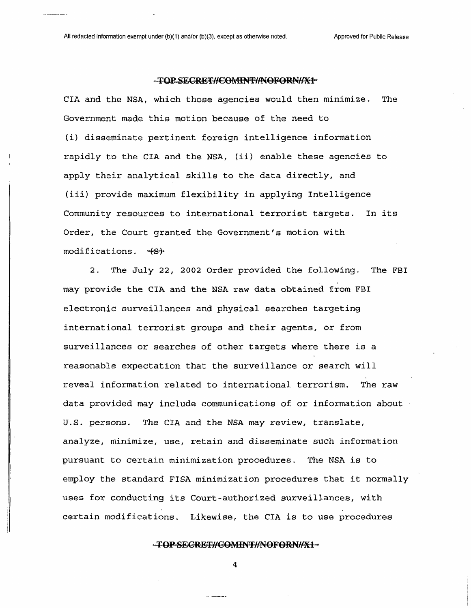#### -TOP SECRET//COMINT//NOFORN//X1"

CIA and the NSA, which those agencies would then minimize. The Government made this motion because of the need to (i) disseminate pertinent foreign intelligence information rapidly to the CIA and the NSA, (ii) enable these agencies to apply their analytical skills to the data directly, and (iii) provide maximum flexibility in applying Intelligence Community resources to international terrorist targets. In its Order, the Court granted the Government's motion with  $modifications.$   $\forall S$ <sup>b</sup>

2. The July 22, 2002 Order provided the following. The FBI may provide the CIA and the NSA raw data obtained from FBI electronic surveillances and physical searches targeting international terrorist groups and their agents, or from surveillances or searches of other targets where there is a reasonable expectation that the surveillance or search will reveal information related to international terrorism. The raw data provided may include communications of or information about U.S. persons. The CIA and the NSA may review, translate, analyze, minimize, use, retain and disseminate such information pursuant to certain minimization procedures. The NSA is to employ the standard FISA minimization procedures that it normally uses for conducting its Court-authorized surveillances, with certain modifications. Likewise, the CIA is to use procedures

## -TOP-SECRET//COMINT//NOFORN//X1-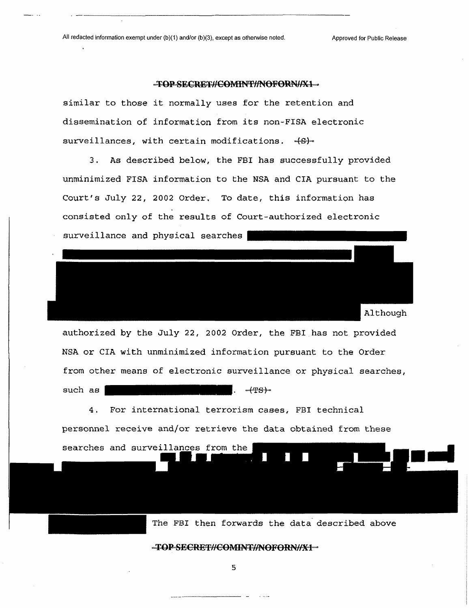searches and surveillances from the

### -TOP-SECRET//COMINT//NOFORN//X1-

similar to those it normally uses for the retention and dissemination of information from its non-FISA electronic surveillances, with certain modifications.  $-6$ -

3. As described below, the FBI has successfully provided unminimized FISA information to the NSA and CIA pursuant to the Court's July *22,* 2002 Order. To date, this information has consisted only of the results of Court-authorized electronic surveillance and physical searches

| Although                                                          |
|-------------------------------------------------------------------|
| authorized by the July 22, 2002 Order, the FBI has not provided   |
| NSA or CIA with unminimized information pursuant to the Order     |
| from other means of electronic surveillance or physical searches, |
| such as<br>$ +$ <del>TS</del> $+$                                 |
| 4. For international terrorism cases, FBI technical               |
| personnel receive and/or retrieve the data obtained from these    |

The FBI then forwards the data described above

 $-$ **TOPSECRET//COMINT//NOFORN//X1**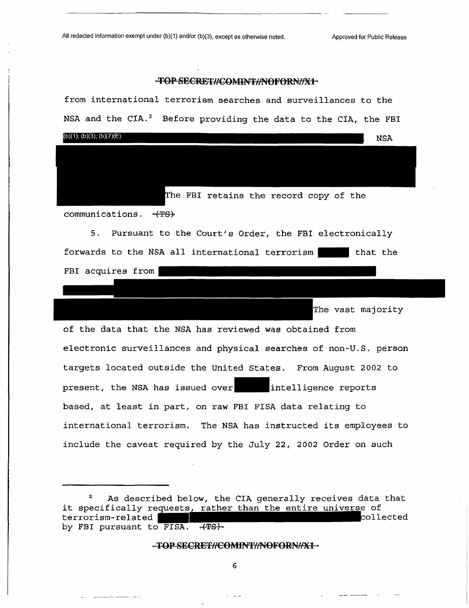## -TOP-SECRET#COMINT#NOFORN#X1-

| from international terrorism searches and surveillances to the              |  |  |
|-----------------------------------------------------------------------------|--|--|
| NSA and the CIA. <sup>2</sup> Before providing the data to the CIA, the FBI |  |  |
| (b)(1); (b)(3); (b)(7)(E)<br><b>NSA</b>                                     |  |  |
|                                                                             |  |  |
|                                                                             |  |  |
| The FBI retains the record copy of the                                      |  |  |
| communications. - (TS)                                                      |  |  |
| 5. Pursuant to the Court's Order, the FBI electronically                    |  |  |
| forwards to the NSA all international terrorism that the                    |  |  |
| FBI acquires from                                                           |  |  |
|                                                                             |  |  |
| The vast majority                                                           |  |  |
| of the data that the NSA has reviewed was obtained from                     |  |  |
| electronic surveillances and physical searches of non-U.S. person           |  |  |
| targets located outside the United States. From August 2002 to              |  |  |
| present, the NSA has issued over intelligence reports                       |  |  |
| based, at least in part, on raw FBI FISA data relating to                   |  |  |
| international terrorism. The NSA has instructed its employees to            |  |  |
| include the caveat required by the July 22, 2002 Order on such              |  |  |

## -TOP-SECRET//COMINT//NOFORN//X1-

6

سبباء

and the company of the company of the

<span id="page-5-0"></span><sup>&</sup>lt;sup>2</sup> As described below, the CIA generally receives data that it specifically requests<u>, rather than the entire univers</u>e of terrorism-related **the contract of the 1999** collected by FBI pursuant to FISA. (TS).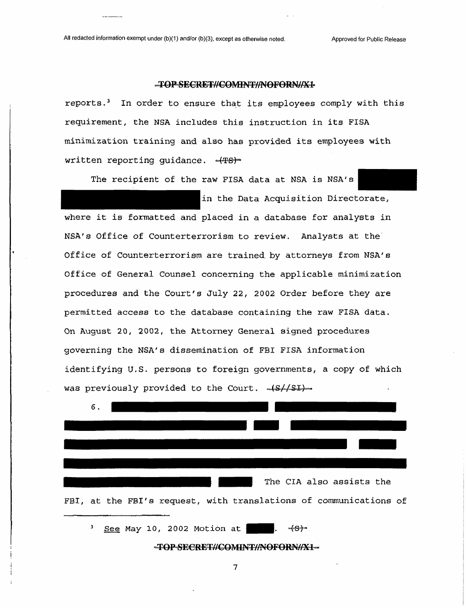## **<sup>K</sup>TOP"SE0RET//€OM1NT//NOF0RN//X1'<sup>&</sup>gt;**

reports.[3](#page-6-0) In order to ensure that its employees comply with this requirement, the NSA includes this instruction in its FISA minimization training and also has provided its employees with written reporting guidance.  $-(T<sub>5</sub>)<sup>-</sup>$ 

The recipient of the raw FISA data at NSA is NSA'a

in the Data Acquisition Directorate, where it is formatted and placed in a database for analysts in NSA's Office of Counterterrorism to review. Analysts at the Office of Counterterrorism are trained, by attorneys from NSA's Office of General Counsel concerning the applicable minimization procedures and the Court's July 22, 2002 Order before they are permitted access to the database containing the raw FISA data. On August 20, 2002, the Attorney General signed procedures governing the NSA's dissemination of FBI FISA information identifying U.S. persons to foreign governments, a copy of which was previously provided to the Court.  $\sqrt{s}/(sL)$ .



<span id="page-6-0"></span>-TOP-SECRET//COMINT//NOFORN//X1-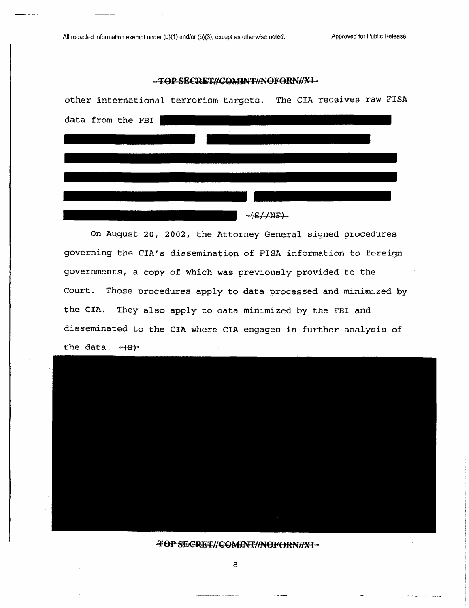## -TOP-SECRET//COMINT//NOFORN//X1-



On August 20, 2002, the Attorney General signed procedures governing the CIA's dissemination of FISA information to foreign governments, a copy of which was previously provided to the Court. Those procedures apply to data processed and minimized by the CIA. They also apply to data minimized by the FBI and disseminated to the CIA where CIA engages in further analysis of the data.



FOP SECRET//COMENT//NOFORN//X1-

 $\mathbf{r}$  and  $\mathbf{r}$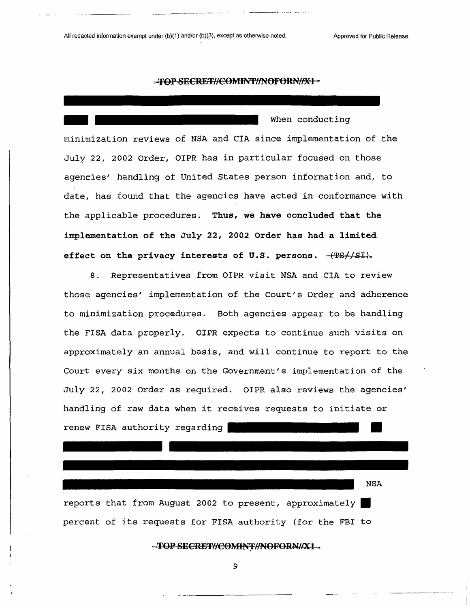#### -TOP-SECRET//COMINT//NOFORN//X1-

When conducting minimization reviews of NSA and CIA since implementation of the July 22, 2002 Order, OIPR has in particular focused on those agencies' handling of United States person information and, to date, has found that the agencies have acted in conformance with the applicable procedures. **Thus, we have concluded that the implementation of the July 22, 2002 Order has had a limited effect on the privacy interests of U.S. persons. -(TSZ/SI)-**

8. Representatives from OIPR visit MSA and CIA to review those agencies' implementation of the Court's Order and adherence to minimization procedures. Both agencies appear to be handling the FISA data properly. OIPR expects to continue such visits on approximately an annual basis, and will continue to report to the Court every six months on the Government's implementation of the July 22, 2002 Order as required. OIPR also reviews the agencies' handling of raw data when it receives requests to initiate or renew FISA authority regarding

NSA

reports that from August 2002 to present, approximately percent of its requests for FISA authority (for the FBI to

-TOP-SECRET//COMINT//NOFORN//X1-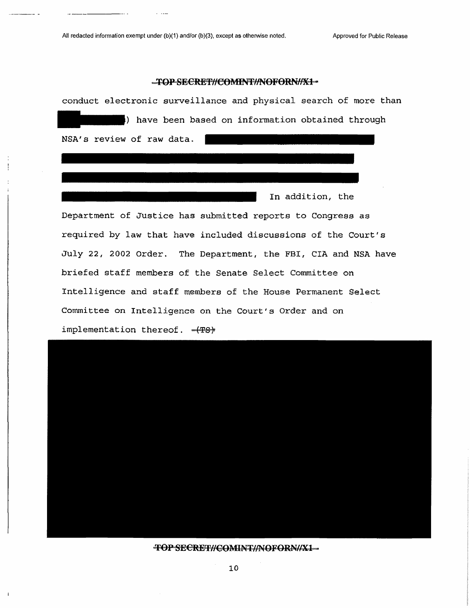$\mathcal{L}$  and  $\mathcal{L}$ 

 $\overline{a}$ 

### -TOP-SECRET//COMINT//NOFORN//X1-



TOP SECRET//COMINT//NOFORN//X1-

10

 $\overline{1}$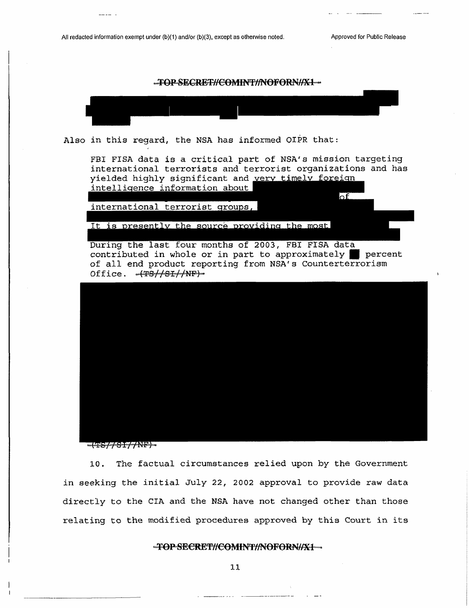$\overline{\text{of}}$ 

# -TOP-SECRET//COMINT//NOFORN//X1-



Also in this regard, the NSA has informed OIPR that:

FBI FISA data is a critical part of NSA's mission targeting international terrorists and terrorist organizations and has yielded highly significant and very timely foreign intelligence information about

international terrorist groups,

It is presently the source providing the most

During the last four months of 2003, FBI FISA data contributed in whole or in part to approximately | percent of all end product reporting from NSA's Counterterrorism Office.  $-49/61/MF$ )



EFFFFFFNF

10. The factual circumstances relied upon by the Government in seeking the initial July 22, 2002 approval to provide raw data directly to the CIA and the NSA have not changed other than those relating to the modified procedures approved by this Court in its

## **-TOPSECRET//COMINT//NOFORN//X1-**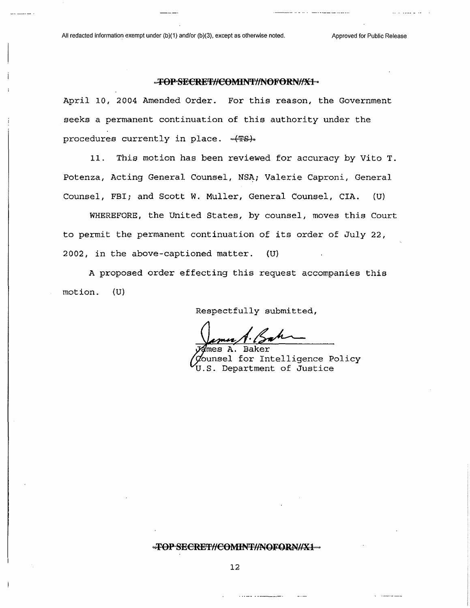## -FOP SECRET//COMINT//NOFORN//X1-

April 10, 2004 Amended Order. For this reason, the Government seeks a permanent continuation of this authority under the procedures currently in place. -(TS).

11. This motion has been reviewed for accuracy by Vito T. Potenza, Acting General Counsel, NSA; Valerie Caproni, General Counsel, FBI; and Scott W. Muller, General Counsel, CIA. (U)

WHEREFORE, the United States, by counsel, moves this Court to permit the permanent continuation of its order of July 22, 2002, in the above-captioned matter. (U)

A proposed order effecting this request accompanies this motion. (U)

Respectfully submitted,

A. Baker nsel for Intelligence Policy U.S. Department of Justice

#### \*TOPSECRET//COMINT//NOFORN//X1\*\*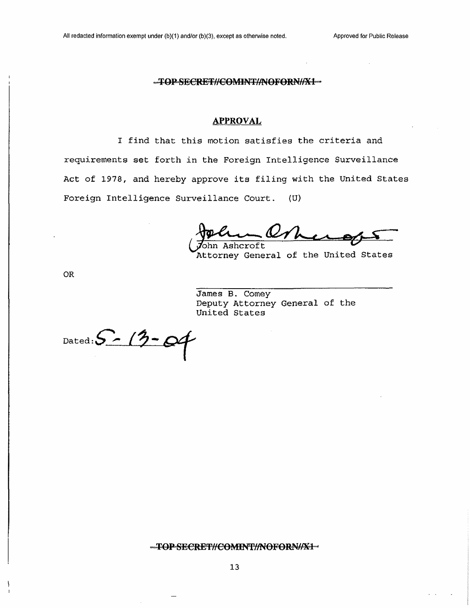### $-$ FOP-SECRET//COMINT//NOFORN//X1

### **APPROVAL**

I find that this motion satisfies the criteria and requirements set forth in the Foreign Intelligence Surveillance Act of 1978, and hereby approve its filing with the United States Foreign Intelligence Surveillance Court. (U)

 $\underline{\mathcal{U}}$ <sub>hn Ashcroft</sub>

Attorney General of the United States

OR

James B. Comey Deputy Attorney General of the United States

Dated:  $S - 13 - 04$ 

#### -TOPSECRET//COMINT//NOFORN//X1-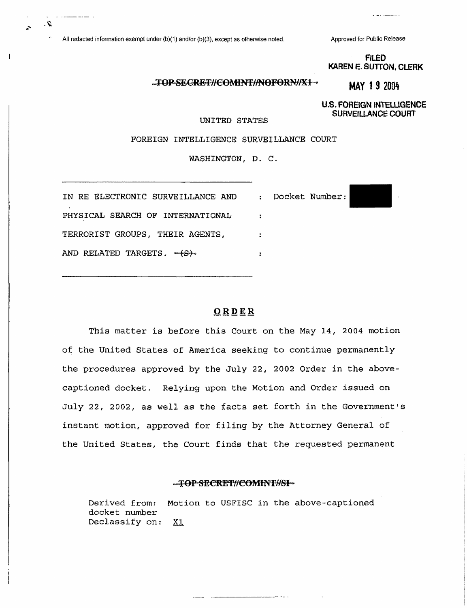Ω.

 $\mathbf{I}$ 

**FILED KAREN E. SUTTON, CLERK**

a was communic

# TOP-SECRET//COMINT//NOFORN//X1-

**U.S. FOREIGN INTELLIGENCE SURVEILLANCE COURT**

**MAY <sup>1</sup> 9 2004**

UNITED STATES

FOREIGN INTELLIGENCE SURVEILLANCE COURT

WASHINGTON, D. C.

| IN RE ELECTRONIC SURVEILLANCE AND : Docket Number: |  |
|----------------------------------------------------|--|
| PHYSICAL SEARCH OF INTERNATIONAL                   |  |
| TERRORIST GROUPS, THEIR AGENTS,                    |  |
| AND RELATED TARGETS. - 4-S-                        |  |

### **ORDER**

This matter is before this Court on the May 14, 2004 motion of the United States of America seeking to continue permanently the procedures approved by the July 22, 2002 Order in the abovecaptioned docket. Relying upon the Motion and Order issued on July 22, 2002, as well as the facts set forth in the Government's instant motion, approved for filing by the Attorney General of the United States, the Court finds that the requested permanent

#### **....TOPSECRET//COMINT//SI--**

Derived from: Motion to USFISC in the above-captioned docket number Declassify on: XI